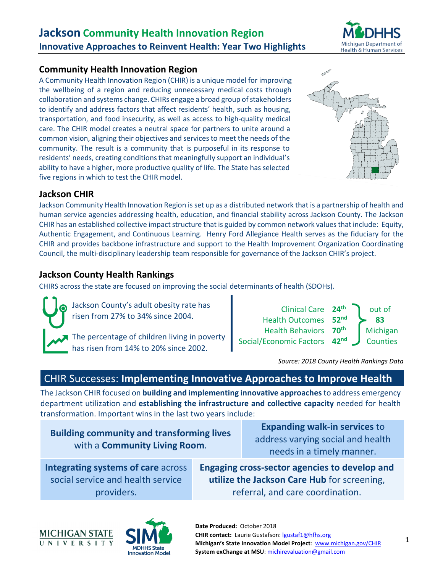

### **Community Health Innovation Region**

A Community Health Innovation Region (CHIR) is a unique model for improving the wellbeing of a region and reducing unnecessary medical costs through collaboration and systems change. CHIRs engage a broad group of stakeholders to identify and address factors that affect residents' health, such as housing, transportation, and food insecurity, as well as access to high-quality medical care. The CHIR model creates a neutral space for partners to unite around a common vision, aligning their objectives and services to meet the needs of the community. The result is a community that is purposeful in its response to residents' needs, creating conditions that meaningfully support an individual's ability to have a higher, more productive quality of life. The State has selected five regions in which to test the CHIR model.



## **Jackson CHIR**

Jackson Community Health Innovation Region is set up as a distributed network that is a partnership of health and human service agencies addressing health, education, and financial stability across Jackson County. The Jackson CHIR has an established collective impact structure that is guided by common network values that include: Equity, Authentic Engagement, and Continuous Learning. Henry Ford Allegiance Health serves as the fiduciary for the CHIR and provides backbone infrastructure and support to the Health Improvement Organization Coordinating Council, the multi-disciplinary leadership team responsible for governance of the Jackson CHIR's project.

## **Jackson County Health Rankings**

CHIRS across the state are focused on improving the social determinants of health (SDOHs).

Jackson County's adult obesity rate has risen from 27% to 34% since 2004. The percentage of children living in poverty has risen from 14% to 20% since 2002.



*Source: 2018 County Health Rankings Data*

# CHIR Successes: **Implementing Innovative Approaches to Improve Health**

The Jackson CHIR focused on **building and implementing innovative approaches** to address emergency department utilization and **establishing the infrastructure and collective capacity** needed for health transformation. Important wins in the last two years include:

**Building community and transforming lives**  with a **Community Living Room**.

**Expanding walk-in services** to address varying social and health needs in a timely manner.

**Integrating systems of care** across social service and health service providers.

**Engaging cross-sector agencies to develop and utilize the Jackson Care Hub** for screening, referral, and care coordination.



**Date Produced:** October 2018 **CHIR contact:** Laurie Gustafson[: lgustaf1@hfhs.org](mailto:lgustaf1@hfhs.org) **Michigan's State Innovation Model Project**: www.michigan.gov/CHIR **System exChange at MSU**[: michirevaluation@gmail.com](mailto:michirevaluation@gmail.com)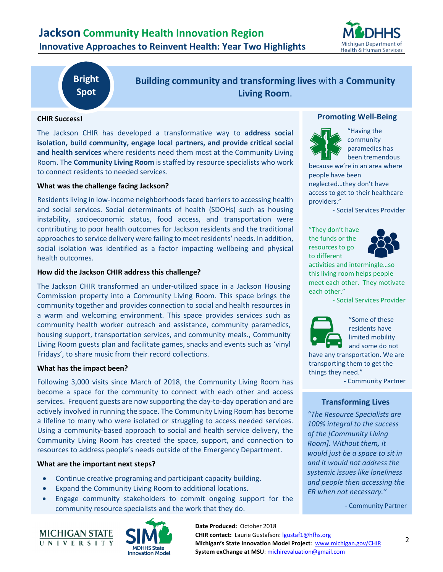

# **Bright Spot**

**Building community and transforming lives** with a **Community Living Room**.

#### **CHIR Success!**

The Jackson CHIR has developed a transformative way to **address social isolation, build community, engage local partners, and provide critical social and health services** where residents need them most at the Community Living Room. The **Community Living Room** is staffed by resource specialists who work to connect residents to needed services.

#### **What was the challenge facing Jackson?**

Residents living in low-income neighborhoods faced barriers to accessing health and social services. Social determinants of health (SDOHs) such as housing instability, socioeconomic status, food access, and transportation were contributing to poor health outcomes for Jackson residents and the traditional approaches to service delivery were failing to meet residents' needs. In addition, social isolation was identified as a factor impacting wellbeing and physical health outcomes.

#### **How did the Jackson CHIR address this challenge?**

The Jackson CHIR transformed an under-utilized space in a Jackson Housing Commission property into a Community Living Room. This space brings the community together and provides connection to social and health resources in a warm and welcoming environment. This space provides services such as community health worker outreach and assistance, community paramedics, housing support, transportation services, and community meals., Community Living Room guests plan and facilitate games, snacks and events such as 'vinyl Fridays', to share music from their record collections.

#### **What has the impact been?**

Following 3,000 visits since March of 2018, the Community Living Room has become a space for the community to connect with each other and access services. Frequent guests are now supporting the day-to-day operation and are actively involved in running the space. The Community Living Room has become a lifeline to many who were isolated or struggling to access needed services. Using a community-based approach to social and health service delivery, the Community Living Room has created the space, support, and connection to resources to address people's needs outside of the Emergency Department.

#### **What are the important next steps?**

- Continue creative programing and participant capacity building.
- Expand the Community Living Room to additional locations.
- Engage community stakeholders to commit ongoing support for the community resource specialists and the work that they do.





**Promoting Well-Being**



"Having the community paramedics has been tremendous

because we're in an area where people have been neglected…they don't have access to get to their healthcare providers."

- Social Services Provider

"They don't have the funds or the resources to go to different



activities and intermingle…so this living room helps people meet each other. They motivate each other."

- Social Services Provider



"Some of these residents have limited mobility and some do not

have any transportation. We are transporting them to get the things they need."

- Community Partner

#### **Transforming Lives**

*"The Resource Specialists are 100% integral to the success of the [Community Living Room]. Without them, it would just be a space to sit in and it would not address the systemic issues like loneliness and people then accessing the ER when not necessary."*

*-* Community Partner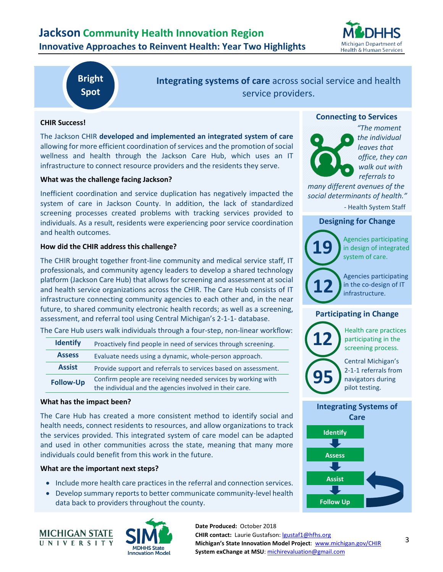

# **Bright Spot**

**Integrating systems of care** across social service and health service providers.

#### **CHIR Success!**

The Jackson CHIR **developed and implemented an integrated system of care** allowing for more efficient coordination of services and the promotion of social wellness and health through the Jackson Care Hub, which uses an IT infrastructure to connect resource providers and the residents they serve.

#### **What was the challenge facing Jackson?**

Inefficient coordination and service duplication has negatively impacted the system of care in Jackson County. In addition, the lack of standardized screening processes created problems with tracking services provided to individuals. As a result, residents were experiencing poor service coordination and health outcomes.

#### **How did the CHIR address this challenge?**

The CHIR brought together front-line community and medical service staff, IT professionals, and community agency leaders to develop a shared technology platform (Jackson Care Hub) that allows for screening and assessment at social and health service organizations across the CHIR. The Care Hub consists of IT infrastructure connecting community agencies to each other and, in the near future, to shared community electronic health records; as well as a screening, assessment, and referral tool using Central Michigan's 2-1-1- database.

The Care Hub users walk individuals through a four-step, non-linear workflow:

| <b>Identify</b>  | Proactively find people in need of services through screening.                                                          |
|------------------|-------------------------------------------------------------------------------------------------------------------------|
| <b>Assess</b>    | Evaluate needs using a dynamic, whole-person approach.                                                                  |
| <b>Assist</b>    | Provide support and referrals to services based on assessment.                                                          |
| <b>Follow-Up</b> | Confirm people are receiving needed services by working with<br>the individual and the agencies involved in their care. |

#### **What has the impact been?**

The Care Hub has created a more consistent method to identify social and health needs, connect residents to resources, and allow organizations to track the services provided. This integrated system of care model can be adapted and used in other communities across the state, meaning that many more individuals could benefit from this work in the future.

#### **What are the important next steps?**

- Include more health care practices in the referral and connection services.
- Develop summary reports to better communicate community-level health data back to providers throughout the county.





#### **Connecting to Services**



*"The moment the individual leaves that office, they can walk out with referrals to* 

*many different avenues of the social determinants of health."*

- Health System Staff

#### **Designing for Change**



Agencies participating in design of integrated system of care.

Agencies participating in the co-design of IT infrastructure.

#### **Participating in Change**



Health care practices participating in the screening process.

Central Michigan's 2-1-1 referrals from navigators during pilot testing.

#### **Integrating Systems of Care**



**CHIR contact:** Laurie Gustafson[: lgustaf1@hfhs.org](mailto:lgustaf1@hfhs.org) **Michigan's State Innovation Model Project**: www.michigan.gov/CHIR **System exChange at MSU**[: michirevaluation@gmail.com](mailto:michirevaluation@gmail.com)